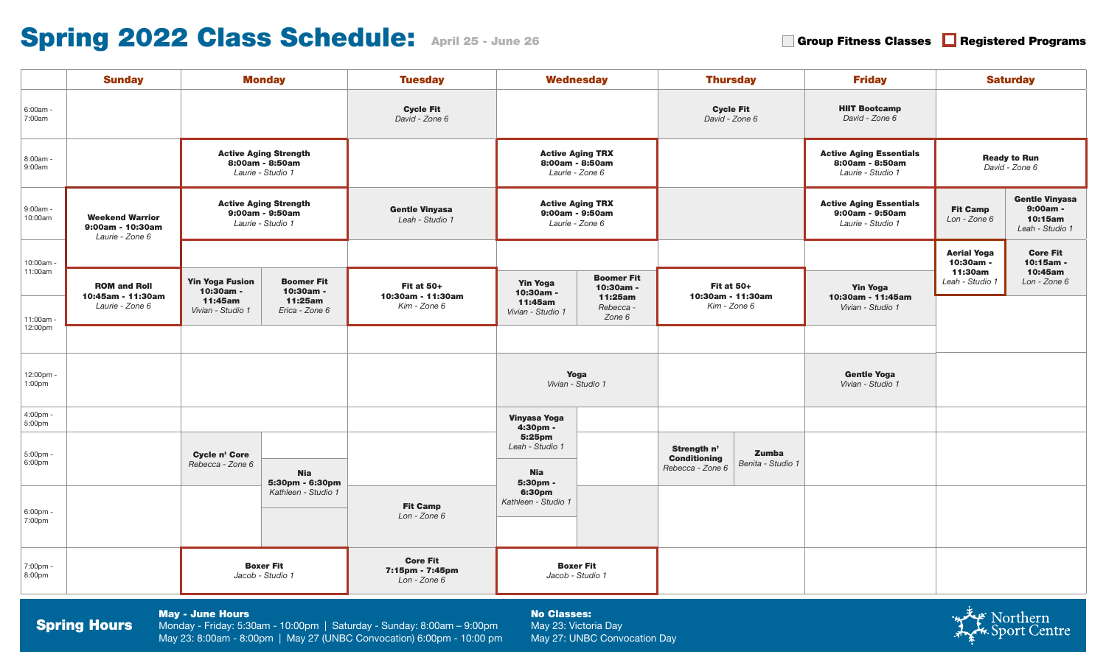# Spring 2022 Class Schedule: April 25 - June 26

Group Fitness Classes **Registered Programs** 

| <b>Sunday</b>                                                                                                                                                                                                                                                                   |                                                               |                                                                      | <b>Monday</b>                                                        | <b>Tuesday</b>                                         | <b>Wednesday</b>                                              |                                                                  | <b>Thursday</b>                                        |                                         | <b>Friday</b>                                                          | <b>Saturday</b>                                                                                    |                              |
|---------------------------------------------------------------------------------------------------------------------------------------------------------------------------------------------------------------------------------------------------------------------------------|---------------------------------------------------------------|----------------------------------------------------------------------|----------------------------------------------------------------------|--------------------------------------------------------|---------------------------------------------------------------|------------------------------------------------------------------|--------------------------------------------------------|-----------------------------------------|------------------------------------------------------------------------|----------------------------------------------------------------------------------------------------|------------------------------|
| $6:00am -$<br>7:00am                                                                                                                                                                                                                                                            |                                                               |                                                                      | <b>Cycle Fit</b><br>David - Zone 6                                   |                                                        |                                                               | <b>Cycle Fit</b><br>David - Zone 6                               |                                                        | <b>HIIT Bootcamp</b><br>David - Zone 6  |                                                                        |                                                                                                    |                              |
| 8:00am -<br>9:00am                                                                                                                                                                                                                                                              |                                                               | <b>Active Aging Strength</b><br>8:00am - 8:50am<br>Laurie - Studio 1 |                                                                      |                                                        | <b>Active Aging TRX</b><br>8:00am - 8:50am<br>Laurie - Zone 6 |                                                                  |                                                        |                                         | <b>Active Aging Essentials</b><br>8:00am - 8:50am<br>Laurie - Studio 1 | <b>Ready to Run</b><br>David - Zone 6                                                              |                              |
| $9:00am -$<br>10:00am                                                                                                                                                                                                                                                           | <b>Weekend Warrior</b><br>9:00am - 10:30am<br>Laurie - Zone 6 |                                                                      | <b>Active Aging Strength</b><br>9:00am - 9:50am<br>Laurie - Studio 1 | <b>Gentle Vinyasa</b><br>Leah - Studio 1               | <b>Active Aging TRX</b><br>9:00am - 9:50am<br>Laurie - Zone 6 |                                                                  |                                                        |                                         | <b>Active Aging Essentials</b><br>9:00am - 9:50am<br>Laurie - Studio 1 | <b>Gentle Vinyasa</b><br>9:00am -<br><b>Fit Camp</b><br>10:15am<br>Lon - Zone 6<br>Leah - Studio 1 |                              |
|                                                                                                                                                                                                                                                                                 |                                                               |                                                                      |                                                                      |                                                        |                                                               |                                                                  |                                                        |                                         |                                                                        | <b>Aerial Yoga</b><br>10:30am -                                                                    | <b>Core Fit</b><br>10:15am - |
| 10:00am ·<br>11:00am                                                                                                                                                                                                                                                            | <b>ROM and Roll</b><br>10:45am - 11:30am<br>Laurie - Zone 6   | <b>Yin Yoga Fusion</b><br>10:30am -                                  | <b>Boomer Fit</b><br>10:30am -<br>11:25am<br>Erica - Zone 6          | <b>Fit at 50+</b><br>10:30am - 11:30am<br>Kim - Zone 6 | <b>Yin Yoga</b><br>10:30am -<br>11:45am<br>Vivian - Studio 1  | <b>Boomer Fit</b><br>10:30am -<br>11:25am<br>Rebecca -<br>Zone 6 | <b>Fit at 50+</b><br>10:30am - 11:30am<br>Kim - Zone 6 |                                         | <b>Yin Yoga</b><br>10:30am - 11:45am                                   | 11:30am<br>Leah - Studio 1                                                                         | 10:45am<br>Lon - Zone 6      |
| 11:00am -                                                                                                                                                                                                                                                                       |                                                               | 11:45am<br>Vivian - Studio 1                                         |                                                                      |                                                        |                                                               |                                                                  |                                                        |                                         | Vivian - Studio 1                                                      |                                                                                                    |                              |
| 12:00pm                                                                                                                                                                                                                                                                         |                                                               |                                                                      |                                                                      |                                                        |                                                               |                                                                  |                                                        |                                         |                                                                        |                                                                                                    |                              |
| 12:00pm -<br>1:00pm                                                                                                                                                                                                                                                             |                                                               |                                                                      |                                                                      | Yoga<br>Vivian - Studio 1                              |                                                               |                                                                  |                                                        | <b>Gentle Yoga</b><br>Vivian - Studio 1 |                                                                        |                                                                                                    |                              |
| 4:00pm -<br>5:00pm                                                                                                                                                                                                                                                              |                                                               |                                                                      |                                                                      | Vinyasa Yoga<br>4:30pm -                               |                                                               |                                                                  |                                                        |                                         |                                                                        |                                                                                                    |                              |
| 5:00pm -<br>6:00pm                                                                                                                                                                                                                                                              |                                                               | Cycle n' Core<br>Rebecca - Zone 6                                    | <b>Nia</b><br>5:30pm - 6:30pm                                        |                                                        | 5:25pm<br>Leah - Studio 1<br><b>Nia</b><br>5:30pm -           |                                                                  | Strength n'<br><b>Conditioning</b><br>Rebecca - Zone 6 | Zumba<br>Benita - Studio 1              |                                                                        |                                                                                                    |                              |
| 6:00pm -<br>7:00pm                                                                                                                                                                                                                                                              |                                                               |                                                                      | Kathleen - Studio 1                                                  | <b>Fit Camp</b><br>Lon - Zone 6                        | 6:30pm<br>Kathleen - Studio 1                                 |                                                                  |                                                        |                                         |                                                                        |                                                                                                    |                              |
| 7:00pm -<br>8:00pm                                                                                                                                                                                                                                                              |                                                               |                                                                      | <b>Boxer Fit</b><br>Jacob - Studio 1                                 | <b>Core Fit</b><br>7:15pm - 7:45pm<br>Lon - Zone 6     | <b>Boxer Fit</b><br>Jacob - Studio 1                          |                                                                  |                                                        |                                         |                                                                        |                                                                                                    |                              |
| <b>May - June Hours</b><br><b>No Classes:</b><br><b>Spring Hours</b><br>Monday - Friday: 5:30am - 10:00pm   Saturday - Sunday: 8:00am - 9:00pm<br>May 23: Victoria Day<br>May 23: 8:00am - 8:00pm   May 27 (UNBC Convocation) 6:00pm - 10:00 pm<br>May 27: UNBC Convocation Day |                                                               |                                                                      |                                                                      |                                                        |                                                               |                                                                  |                                                        |                                         | میکنیکیا Northern<br>K. Sport Centre                                   |                                                                                                    |                              |